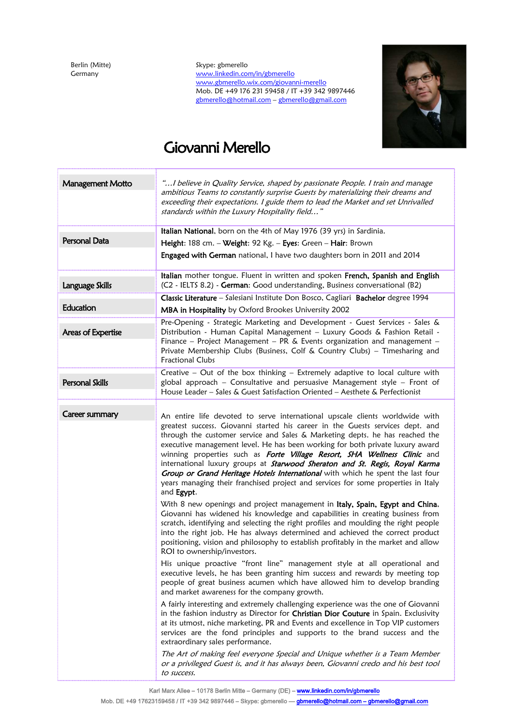Berlin (Mitte) Germany

Skype: gbmerello [www.linkedin.com/in/gbmerello](http://www.linkedin.com/in/gbmerello) [www.gbmerello.wix.com/giovanni-merello](http://www.gbmerello.wix.com/giovanni-merello) Mob. DE +49 176 231 59458 / IT +39 342 9897446 [gbmerello@hotmail.com](mailto:gbmerello@hotmail.com) – [gbmerello@gmail.com](mailto:gbmerello@gmail.com)



# Giovanni Merello

| <b>Management Motto</b> | "I believe in Quality Service, shaped by passionate People. I train and manage<br>ambitious Teams to constantly surprise Guests by materializing their dreams and<br>exceeding their expectations. I guide them to lead the Market and set Unrivalled<br>standards within the Luxury Hospitality field"                                                                                                                                                                                                                                                                                                                                                                                                                                                                                                                                                                                                                                                                                                                                                                                                                                                                                                                                                                                                                                                                                                                                                                                                                                                                                                                                                                                                                                                                                                                                                                                                                                                                                                                  |
|-------------------------|--------------------------------------------------------------------------------------------------------------------------------------------------------------------------------------------------------------------------------------------------------------------------------------------------------------------------------------------------------------------------------------------------------------------------------------------------------------------------------------------------------------------------------------------------------------------------------------------------------------------------------------------------------------------------------------------------------------------------------------------------------------------------------------------------------------------------------------------------------------------------------------------------------------------------------------------------------------------------------------------------------------------------------------------------------------------------------------------------------------------------------------------------------------------------------------------------------------------------------------------------------------------------------------------------------------------------------------------------------------------------------------------------------------------------------------------------------------------------------------------------------------------------------------------------------------------------------------------------------------------------------------------------------------------------------------------------------------------------------------------------------------------------------------------------------------------------------------------------------------------------------------------------------------------------------------------------------------------------------------------------------------------------|
|                         | Italian National, born on the 4th of May 1976 (39 yrs) in Sardinia.                                                                                                                                                                                                                                                                                                                                                                                                                                                                                                                                                                                                                                                                                                                                                                                                                                                                                                                                                                                                                                                                                                                                                                                                                                                                                                                                                                                                                                                                                                                                                                                                                                                                                                                                                                                                                                                                                                                                                      |
| Personal Data           | Height: 188 cm. - Weight: 92 Kg. - Eyes: Green - Hair: Brown                                                                                                                                                                                                                                                                                                                                                                                                                                                                                                                                                                                                                                                                                                                                                                                                                                                                                                                                                                                                                                                                                                                                                                                                                                                                                                                                                                                                                                                                                                                                                                                                                                                                                                                                                                                                                                                                                                                                                             |
|                         | Engaged with German national, I have two daughters born in 2011 and 2014                                                                                                                                                                                                                                                                                                                                                                                                                                                                                                                                                                                                                                                                                                                                                                                                                                                                                                                                                                                                                                                                                                                                                                                                                                                                                                                                                                                                                                                                                                                                                                                                                                                                                                                                                                                                                                                                                                                                                 |
| Language Skills         | Italian mother tongue. Fluent in written and spoken French, Spanish and English<br>(C2 - IELTS 8.2) - German: Good understanding, Business conversational (B2)                                                                                                                                                                                                                                                                                                                                                                                                                                                                                                                                                                                                                                                                                                                                                                                                                                                                                                                                                                                                                                                                                                                                                                                                                                                                                                                                                                                                                                                                                                                                                                                                                                                                                                                                                                                                                                                           |
|                         | Classic Literature - Salesiani Institute Don Bosco, Cagliari Bachelor degree 1994                                                                                                                                                                                                                                                                                                                                                                                                                                                                                                                                                                                                                                                                                                                                                                                                                                                                                                                                                                                                                                                                                                                                                                                                                                                                                                                                                                                                                                                                                                                                                                                                                                                                                                                                                                                                                                                                                                                                        |
| Education               | MBA in Hospitality by Oxford Brookes University 2002                                                                                                                                                                                                                                                                                                                                                                                                                                                                                                                                                                                                                                                                                                                                                                                                                                                                                                                                                                                                                                                                                                                                                                                                                                                                                                                                                                                                                                                                                                                                                                                                                                                                                                                                                                                                                                                                                                                                                                     |
| Areas of Expertise      | Pre-Opening - Strategic Marketing and Development - Guest Services - Sales &<br>Distribution - Human Capital Management - Luxury Goods & Fashion Retail -<br>Finance - Project Management - PR $\&$ Events organization and management -<br>Private Membership Clubs (Business, Colf & Country Clubs) - Timesharing and<br><b>Fractional Clubs</b>                                                                                                                                                                                                                                                                                                                                                                                                                                                                                                                                                                                                                                                                                                                                                                                                                                                                                                                                                                                                                                                                                                                                                                                                                                                                                                                                                                                                                                                                                                                                                                                                                                                                       |
| Personal Skills         | Creative $-$ Out of the box thinking $-$ Extremely adaptive to local culture with<br>global approach - Consultative and persuasive Management style - Front of<br>House Leader - Sales & Guest Satisfaction Oriented - Aesthete & Perfectionist                                                                                                                                                                                                                                                                                                                                                                                                                                                                                                                                                                                                                                                                                                                                                                                                                                                                                                                                                                                                                                                                                                                                                                                                                                                                                                                                                                                                                                                                                                                                                                                                                                                                                                                                                                          |
| Career summary          | An entire life devoted to serve international upscale clients worldwide with<br>greatest success. Giovanni started his career in the Guests services dept. and<br>through the customer service and Sales & Marketing depts. he has reached the<br>executive management level. He has been working for both private luxury award<br>winning properties such as Forte Village Resort, SHA Wellness Clinic and<br>international luxury groups at <b>Starwood Sheraton and St. Regis, Royal Karma</b><br>Group or Grand Heritage Hotels International with which he spent the last four<br>years managing their franchised project and services for some properties in Italy<br>and Egypt.<br>With 8 new openings and project management in Italy, Spain, Egypt and China,<br>Giovanni has widened his knowledge and capabilities in creating business from<br>scratch, identifying and selecting the right profiles and moulding the right people<br>into the right job. He has always determined and achieved the correct product<br>positioning, vision and philosophy to establish profitably in the market and allow<br>ROI to ownership/investors.<br>His unique proactive "front line" management style at all operational and<br>executive levels, he has been granting him success and rewards by meeting top<br>people of great business acumen which have allowed him to develop branding<br>and market awareness for the company growth.<br>A fairly interesting and extremely challenging experience was the one of Giovanni<br>in the fashion industry as Director for Christian Dior Couture in Spain. Exclusivity<br>at its utmost, niche marketing, PR and Events and excellence in Top VIP customers<br>services are the fond principles and supports to the brand success and the<br>extraordinary sales performance.<br>The Art of making feel everyone Special and Unique whether is a Team Member<br>or a privileged Guest is, and it has always been, Giovanni credo and his best tool<br>to success. |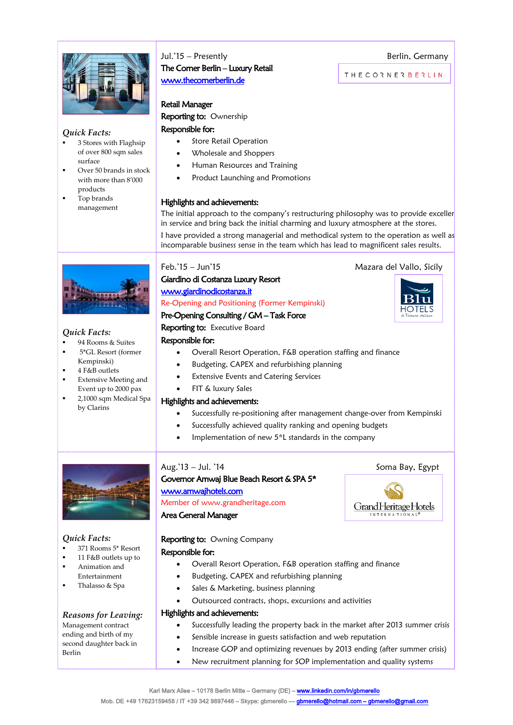

#### *Quick Facts:*

- 3 Stores with Flaghsip of over 800 sqm sales surface
- Over 50 brands in stock with more than 8'000 products
- Top brands management

*Quick Facts:*

 94 Rooms & Suites 5\*GL Resort (former

 Extensive Meeting and Event up to 2000 pax 2,1000 sqm Medical Spa

Kempinski) 4 F&B outlets

by Clarins

## Jul.'15 – Presently **Berlin**, Germany The Corner Berlin – Luxury Retail [www.thecornerberlin.de](http://www.thecornerberlin.de/)

#### Retail Manager

Reporting to: Ownership

#### Responsible for:

- Store Retail Operation
- Wholesale and Shoppers
- Human Resources and Training
- Product Launching and Promotions

#### Highlights and achievements:

The initial approach to the company's restructuring philosophy was to provide exceller in service and bring back the initial charming and luxury atmosphere at the stores.

I have provided a strong managerial and methodical system to the operation as well as incomparable business sense in the team which has lead to magnificent sales results.

### Feb.'15 – Jun'15 Mazara del Vallo, Sicily

## Giardino di Costanza Luxury Resort [www.giardinodicostanza.it](http://www.giardinodicostanza.it/)

#### Re-Opening and Positioning (Former Kempinski)

### Pre-Opening Consulting / GM – Task Force

#### Reporting to: Executive Board

#### Responsible for:

- Overall Resort Operation, F&B operation staffing and finance
- Budgeting, CAPEX and refurbishing planning
- Extensive Events and Catering Services
- FIT & luxury Sales

### Highlights and achievements:

- Successfully re-positioning after management change-over from Kempinski
- Successfully achieved quality ranking and opening budgets
- Implementation of new 5\*L standards in the company

### Aug.'13 – Jul. '14 Soma Bay, Egypt

#### Governor Amwaj Blue Beach Resort & SPA 5\* [www.amwajhotels.com](http://www.amwajhotels.com/)  Member o[f www.grandheritage.com](http://www.grandheritage.com/)

#### Area General Manager

### *Quick Facts:*

- 371 Rooms 5\* Resort
- 11 F&B outlets up to
- Animation and
- Entertainment
- Thalasso & Spa

### *Reasons for Leaving:*

#### Management contract ending and birth of my second daughter back in Berlin

#### Reporting to: Owning Company Responsible for:

- Overall Resort Operation, F&B operation staffing and finance
- Budgeting, CAPEX and refurbishing planning
- Sales & Marketing, business planning
- Outsourced contracts, shops, excursions and activities

#### Highlights and achievements:

- Successfully leading the property back in the market after 2013 summer crisis
- Sensible increase in guests satisfaction and web reputation
- Increase GOP and optimizing revenues by 2013 ending (after summer crisis)
- New recruitment planning for SOP implementation and quality systems

⊣∩TFI



**THECORNERBERLIN**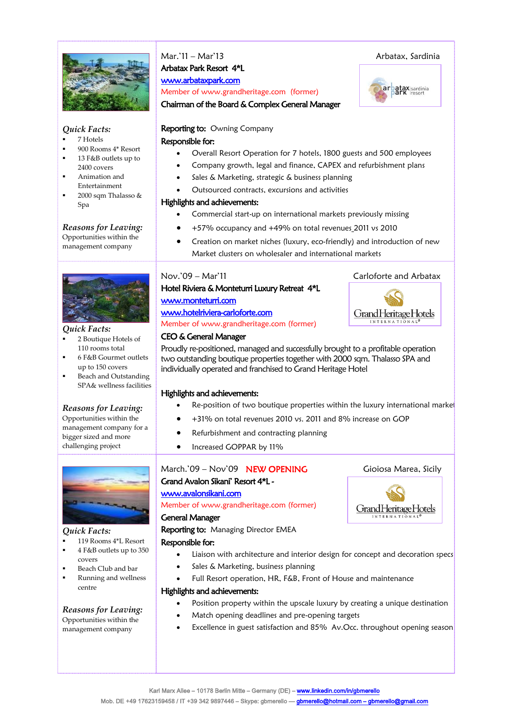

#### *Quick Facts:*

- 7 Hotels
- 900 Rooms 4\* Resort 13 F&B outlets up to
- 2400 covers
- Animation and Entertainment
- 2000 sqm Thalasso & Spa

## *Reasons for Leaving:*

Opportunities within the management company



#### *Quick Facts:*

- 2 Boutique Hotels of 110 rooms total
- 6 F&B Gourmet outlets up to 150 covers
- Beach and Outstanding SPA& wellness facilities

### *Reasons for Leaving:*

Opportunities within the management company for a bigger sized and more challenging project



#### *Quick Facts:*

- 119 Rooms 4\*L Resort 4 F&B outlets up to 350 covers
- Beach Club and bar
- Running and wellness centre

### *Reasons for Leaving:*

Opportunities within the management company

Mar.'11 – Mar'13 Arbatax, Sardinia Arbatax Park Resort 4\*L [www.arbataxp](http://www.arbatax/)ark.com

Member o[f www.grandheritage.com](http://www.grandheritage.com/) (former)

Chairman of the Board & Complex General Manager

### Reporting to: Owning Company

#### Responsible for:

- Overall Resort Operation for 7 hotels, 1800 guests and 500 employees
- Company growth, legal and finance, CAPEX and refurbishment plans
- Sales & Marketing, strategic & business planning
- Outsourced contracts, excursions and activities

#### Highlights and achievements:

- Commercial start-up on international markets previously missing
- +57% occupancy and +49% on total revenues 2011 vs 2010
- Creation on market niches (luxury, eco-friendly) and introduction of new Market clusters on wholesaler and international markets

### Nov.'09 – Mar'11 Carloforte and Arbatax

#### Hotel Riviera & Monteturri Luxury Retreat 4\*L [www.monteturri.com](http://www.monteturri.com/)

## [www.hotelriviera-carloforte.com](http://www.hotelriviera-carloforte.com/)

Member o[f www.grandheritage.com](http://www.grandheritage.com/) (former)

#### CEO & General Manager

Proudly re-positioned, managed and successfully brought to a profitable operation two outstanding boutique properties together with 2000 sqm. Thalasso SPA and individually operated and franchised to Grand Heritage Hotel

### Highlights and achievements:

- Re-position of two boutique properties within the luxury international market
- +31% on total revenues 2010 vs. 2011 and 8% increase on GOP
- Refurbishment and contracting planning
- Increased GOPPAR by 11%

### March.'09 – Nov'09 **NEW OPENING** Gioiosa Marea, Sicily Grand Avalon Sikani' Resort 4\*L www.avalonsikani.com

Member o[f www.grandheritage.com](http://www.grandheritage.com/) (former)

#### General Manager

Reporting to: Managing Director EMEA

### Responsible for:

- Liaison with architecture and interior design for concept and decoration specs
- Sales & Marketing, business planning
- Full Resort operation, HR, F&B, Front of House and maintenance

#### Highlights and achievements:

- Position property within the upscale luxury by creating a unique destination
- Match opening deadlines and pre-opening targets
- Excellence in guest satisfaction and 85% Av.Occ. throughout opening season



Grand Heritage Hotels

arbatax sardinia



INTERNATIONAL

Karl Marx Allee - 10178 Berlin Mitte - Germany (DE) - www.linkedin.com/in/gbmerello Mob. DE +49 17623159458 / IT +39 342 9897446 - Skype: gbmerello -- gbmerello@hotmail.com - gbmerello@gmail.com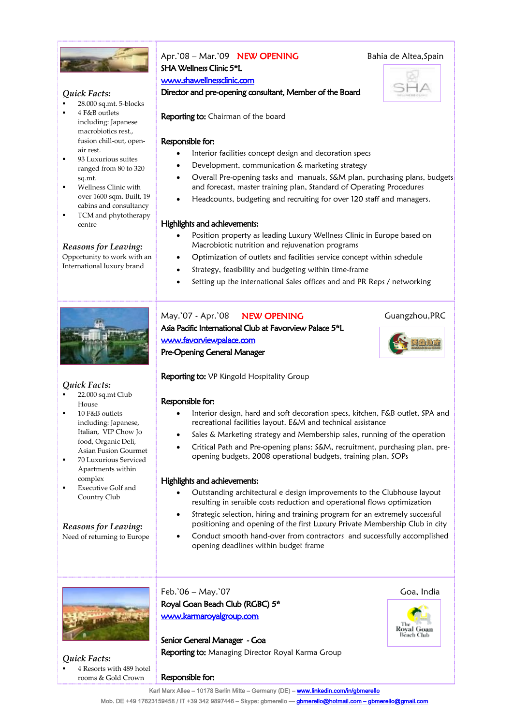

#### *Quick Facts:*

- 28.000 sq.mt. 5-blocks
- 4 F&B outlets including: Japanese macrobiotics rest., fusion chill-out, openair rest.
- 93 Luxurious suites ranged from 80 to 320 sq.mt.
- Wellness Clinic with over 1600 sqm. Built, 19 cabins and consultancy
- TCM and phytotherapy centre

#### *Reasons for Leaving:*

Opportunity to work with an International luxury brand



#### *Quick Facts:*

- 22.000 sq.mt Club House
- 10 F&B outlets including: Japanese, Italian, VIP Chow Jo food, Organic Deli, Asian Fusion Gourmet
- 70 Luxurious Serviced Apartments within complex
- Executive Golf and Country Club

*Reasons for Leaving:* Need of returning to Europe

## Apr.'08 – Mar.'09 **NEW OPENING** Bahia de Altea, Spain SHA Wellness Clinic 5\*L

#### www.shawellnessclinic.com

Director and pre-opening consultant, Member of the Board



Reporting to: Chairman of the board

#### Responsible for:

- Interior facilities concept design and decoration specs
- Development, communication & marketing strategy
- Overall Pre-opening tasks and manuals, S&M plan, purchasing plans, budgets and forecast, master training plan, Standard of Operating Procedures
- Headcounts, budgeting and recruiting for over 120 staff and managers.

#### Highlights and achievements:

- Position property as leading Luxury Wellness Clinic in Europe based on Macrobiotic nutrition and rejuvenation programs
- Optimization of outlets and facilities service concept within schedule
- Strategy, feasibility and budgeting within time-frame
- Setting up the international Sales offices and and PR Reps / networking

May.'07 - Apr.'08 NEW OPENING Guangzhou, PRC Asia Pacific International Club at Favorview Palace 5\*L [www.favorviewpalace.com](http://www.favorviewpalace.com/)  Pre-Opening General Manager



#### Responsible for:

- Interior design, hard and soft decoration specs, kitchen, F&B outlet, SPA and recreational facilities layout. E&M and technical assistance
- Sales & Marketing strategy and Membership sales, running of the operation
- Critical Path and Pre-opening plans: S&M, recruitment, purchasing plan, preopening budgets, 2008 operational budgets, training plan, SOPs

#### Highlights and achievements:

- Outstanding architectural e design improvements to the Clubhouse layout resulting in sensible costs reduction and operational flows optimization
- Strategic selection, hiring and training program for an extremely successful positioning and opening of the first Luxury Private Membership Club in city
- Conduct smooth hand-over from contractors and successfully accomplished opening deadlines within budget frame



*Quick Facts:* 4 Resorts with 489 hotel rooms & Gold Crown

Feb.'06 – May.'07 Goa, India Royal Goan Beach Club (RGBC) 5\* [www.karmaroyalgroup.com](http://www.karmaroyalgroup.com/) 

Senior General Manager - Goa **Reporting to:** Managing Director Royal Karma Group



北山地区



Responsible for:

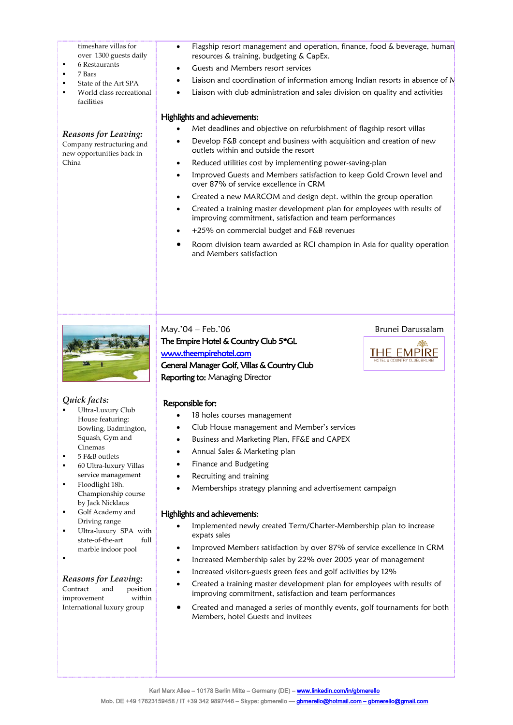timeshare villas for

over 1300 guests daily

- 6 Restaurants
- 7 Bars
- State of the Art SPA
- World class recreational facilities

#### *Reasons for Leaving:*

Company restructuring and new opportunities back in China

- Flagship resort management and operation, finance, food & beverage, human resources & training, budgeting & CapEx.
- Guests and Members resort services
- Liaison and coordination of information among Indian resorts in absence of  $N$
- Liaison with club administration and sales division on quality and activities

#### Highlights and achievements:

- Met deadlines and objective on refurbishment of flagship resort villas
- Develop F&B concept and business with acquisition and creation of new outlets within and outside the resort
- Reduced utilities cost by implementing power-saving-plan
- Improved Guests and Members satisfaction to keep Gold Crown level and over 87% of service excellence in CRM
- Created a new MARCOM and design dept. within the group operation
- Created a training master development plan for employees with results of improving commitment, satisfaction and team performances
- +25% on commercial budget and F&B revenues
- Room division team awarded as RCI champion in Asia for quality operation and Members satisfaction



#### *Quick facts:*

- Ultra-Luxury Club House featuring: Bowling, Badmington, Squash, Gym and Cinemas
- 5 F&B outlets
- 60 Ultra-luxury Villas service management
- Floodlight 18h. Championship course by Jack Nicklaus
- Golf Academy and Driving range
- **Ultra-luxury SPA** with state-of-the-art full marble indoor pool

:

#### *Reasons for Leaving:*

Contract and position improvement within International luxury group

The Empire Hotel & Country Club 5\*GL [www.theempirehotel.com](http://www.theempirehotel.com/)  General Manager Golf, Villas & Country Club

May.'04 – Feb.'06 Brunei Darussalam



Reporting to: Managing Director

#### Responsible for:

- 18 holes courses management
- Club House management and Member's services
- Business and Marketing Plan, FF&E and CAPEX
- Annual Sales & Marketing plan
- Finance and Budgeting
- Recruiting and training
- Memberships strategy planning and advertisement campaign

#### Highlights and achievements:

- Implemented newly created Term/Charter-Membership plan to increase expats sales
- Improved Members satisfaction by over 87% of service excellence in CRM
- Increased Membership sales by 22% over 2005 year of management
- Increased visitors-guests green fees and golf activities by 12%
- Created a training master development plan for employees with results of improving commitment, satisfaction and team performances
- Created and managed a series of monthly events, golf tournaments for both Members, hotel Guests and invitees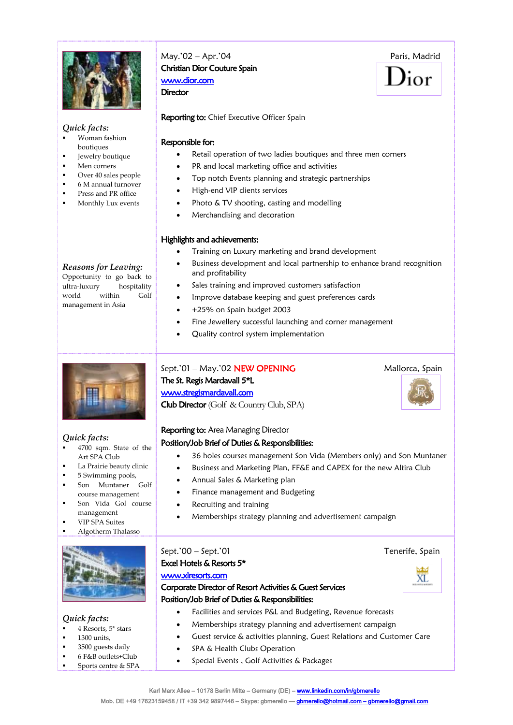

## May.'02 – Apr.'04 Paris, Madrid Christian Dior Couture Spain [www.dior.com](http://www.dior.com/)

 $\mathbf{y}_{\text{ior}}$ 

#### *Quick facts:*

- Woman fashion boutiques
- **Jewelry boutique**
- Men corners
- Over 40 sales people
- 6 M annual turnover
- Press and PR office
- Monthly Lux events

#### *Reasons for Leaving:*

Opportunity to go back to ultra-luxury hospitality world within Golf management in Asia



#### *Quick facts:*

- 4700 sqm. State of the Art SPA Club
- La Prairie beauty clinic
- 5 Swimming pools,
- **Son Muntaner Golf** course management
- Son Vida Gol course management
- VIP SPA Suites
- Algotherm Thalasso



#### *Quick facts:*

- 4 Resorts, 5\* stars
- 1300 units,
- **3500** guests daily
- 6 F&B outlets+Club Sports centre & SPA

**Director** 

Reporting to: Chief Executive Officer Spain

#### Responsible for:

- Retail operation of two ladies boutiques and three men corners
- PR and local marketing office and activities
- Top notch Events planning and strategic partnerships
- High-end VIP clients services
- Photo & TV shooting, casting and modelling
- Merchandising and decoration

#### Highlights and achievements:

- Training on Luxury marketing and brand development
- Business development and local partnership to enhance brand recognition and profitability
- Sales training and improved customers satisfaction
- Improve database keeping and guest preferences cards
- +25% on Spain budget 2003
- Fine Jewellery successful launching and corner management
- Quality control system implementation

Sept.'01 – May.'02 NEW OPENING Mallorca, Spain The St. Regis Mardavall 5\*L Club Director (Golf & Country Club, SPA)

# Reporting to: Area Managing Director

## Position/Job Brief of Duties & Responsibilities:

- 36 holes courses management Son Vida (Members only) and Son Muntaner
- Business and Marketing Plan, FF&E and CAPEX for the new Altira Club
- Annual Sales & Marketing plan
- Finance management and Budgeting
- Recruiting and training
- Memberships strategy planning and advertisement campaign

## Sept.'00 – Sept.'01 Tenerife, Spain Excel Hotels & Resorts 5\* [www.xlresorts.com](http://www.xlresorts.com/)  Corporate Director of Resort Activities & Guest Services Position/Job Brief of Duties & Responsibilities: Facilities and services P&L and Budgeting, Revenue forecasts

- Memberships strategy planning and advertisement campaign
- Guest service & activities planning, Guest Relations and Customer Care
- SPA & Health Clubs Operation
- Special Events, Golf Activities & Packages



[www.stregismardavall.com](http://www.stregismardavall.com/)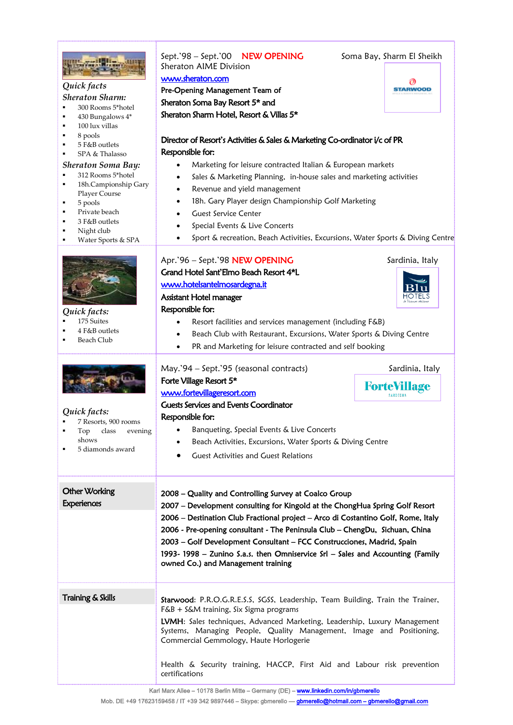| Quick facts<br><b>Sheraton Sharm:</b><br>300 Rooms 5*hotel<br>430 Bungalows 4*<br>100 lux villas<br>8 pools<br>5 F&B outlets<br>SPA & Thalasso<br><b>Sheraton Soma Bay:</b><br>312 Rooms 5*hotel<br>18h.Campionship Gary<br>Player Course<br>5 pools<br>Private beach<br>٠<br>3 F&B outlets<br>Night club<br>Water Sports & SPA | Sept.'98 - Sept.'00 NEW OPENING<br>Soma Bay, Sharm El Sheikh<br>Sheraton AIME Division<br>www.sheraton.com<br>Pre-Opening Management Team of<br><b>STARWOOD</b><br>Sheraton Soma Bay Resort 5* and<br>Sheraton Sharm Hotel, Resort & Villas 5*<br>Director of Resort's Activities & Sales & Marketing Co-ordinator i/c of PR<br>Responsible for:<br>Marketing for leisure contracted Italian & European markets<br>Sales & Marketing Planning, in-house sales and marketing activities<br>Revenue and yield management<br>18h. Gary Player design Championship Golf Marketing<br>$\bullet$<br><b>Guest Service Center</b><br>Special Events & Live Concerts<br>Sport & recreation, Beach Activities, Excursions, Water Sports & Diving Centre<br>$\bullet$                                                                                                                            |
|---------------------------------------------------------------------------------------------------------------------------------------------------------------------------------------------------------------------------------------------------------------------------------------------------------------------------------|---------------------------------------------------------------------------------------------------------------------------------------------------------------------------------------------------------------------------------------------------------------------------------------------------------------------------------------------------------------------------------------------------------------------------------------------------------------------------------------------------------------------------------------------------------------------------------------------------------------------------------------------------------------------------------------------------------------------------------------------------------------------------------------------------------------------------------------------------------------------------------------|
| Quick facts:<br>175 Suites<br>4 F&B outlets<br><b>Beach Club</b><br>Quick facts:<br>7 Resorts, 900 rooms<br>class<br>evening<br>Top<br>shows<br>5 diamonds award                                                                                                                                                                | Apr.'96 - Sept.'98 NEW OPENING<br>Sardinia, Italy<br>Grand Hotel Sant'Elmo Beach Resort 4*L<br>www.hotelsantelmosardegna.it<br>Assistant Hotel manager<br>Responsible for:<br>Resort facilities and services management (including F&B)<br>Beach Club with Restaurant, Excursions, Water Sports & Diving Centre<br>PR and Marketing for leisure contracted and self booking<br>$\bullet$<br>May.'94 - Sept.'95 (seasonal contracts)<br>Sardinia, Italy<br>Forte Village Resort 5*<br><b>ForteVillage</b><br>www.fortevillageresort.com<br>Guests Services and Events Coordinator<br>Responsible for:<br>Banqueting, Special Events & Live Concerts<br>٠<br>Beach Activities, Excursions, Water Sports & Diving Centre                                                                                                                                                                 |
| <b>Other Working</b><br><b>Experiences</b><br>Training & Skills                                                                                                                                                                                                                                                                 | <b>Guest Activities and Guest Relations</b><br>2008 – Quality and Controlling Survey at Coalco Group<br>2007 - Development consulting for Kingold at the ChongHua Spring Golf Resort<br>2006 – Destination Club Fractional project – Arco di Costantino Golf, Rome, Italy<br>2006 - Pre-opening consultant - The Peninsula Club - ChengDu, Sichuan, China<br>2003 - Golf Development Consultant - FCC Construcciones, Madrid, Spain<br>1993-1998 - Zunino S.a.s. then Omniservice Srl - Sales and Accounting (Family<br>owned Co.) and Management training<br>Starwood: P.R.O.G.R.E.S.S, SGSS, Leadership, Team Building, Train the Trainer,<br>F&B + S&M training, Six Sigma programs<br>LVMH: Sales techniques, Advanced Marketing, Leadership, Luxury Management<br>Systems, Managing People, Quality Management, Image and Positioning,<br>Commercial Gemmology, Haute Horlogerie |
|                                                                                                                                                                                                                                                                                                                                 | Health & Security training, HACCP, First Aid and Labour risk prevention<br>certifications                                                                                                                                                                                                                                                                                                                                                                                                                                                                                                                                                                                                                                                                                                                                                                                             |

Karl Marx Allee - 10178 Berlin Mitte - Germany (DE) - www.linkedin.com/in/gbmerello